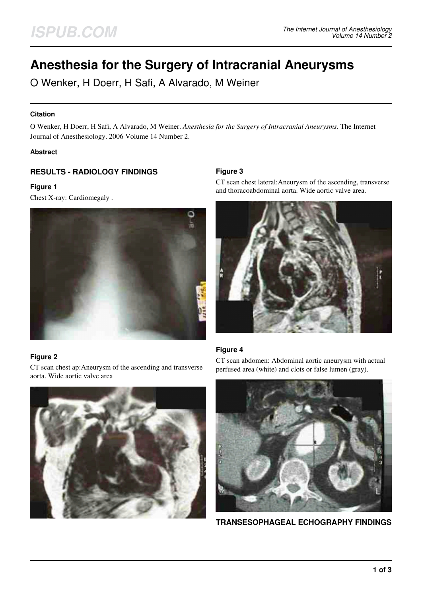# **Anesthesia for the Surgery of Intracranial Aneurysms**

O Wenker, H Doerr, H Safi, A Alvarado, M Weiner

#### **Citation**

O Wenker, H Doerr, H Safi, A Alvarado, M Weiner. *Anesthesia for the Surgery of Intracranial Aneurysms*. The Internet Journal of Anesthesiology. 2006 Volume 14 Number 2.

#### **Abstract**

## **RESULTS - RADIOLOGY FINDINGS**

#### **Figure 1**

Chest X-ray: Cardiomegaly .



### **Figure 2**

CT scan chest ap:Aneurysm of the ascending and transverse aorta. Wide aortic valve area



### **Figure 3**

CT scan chest lateral:Aneurysm of the ascending, transverse and thoracoabdominal aorta. Wide aortic valve area.



### **Figure 4**

CT scan abdomen: Abdominal aortic aneurysm with actual perfused area (white) and clots or false lumen (gray).



**TRANSESOPHAGEAL ECHOGRAPHY FINDINGS**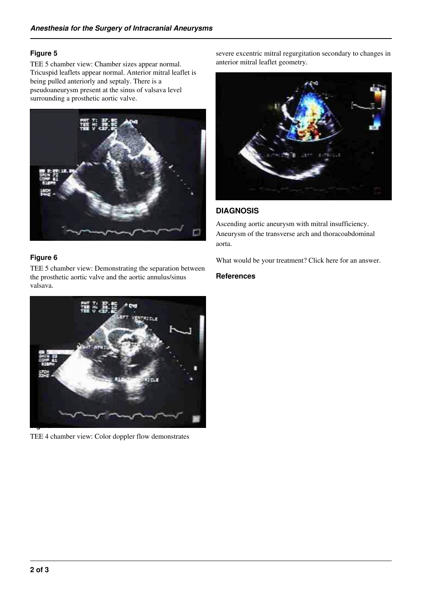### **Figure 5**

TEE 5 chamber view: Chamber sizes appear normal. Tricuspid leaflets appear normal. Anterior mitral leaflet is being pulled anteriorly and septaly. There is a pseudoaneurysm present at the sinus of valsava level surrounding a prosthetic aortic valve.



### **Figure 6**

TEE 5 chamber view: Demonstrating the separation between the prosthetic aortic valve and the aortic annulus/sinus valsava.



TEE 4 chamber view: Color doppler flow demonstrates

severe excentric mitral regurgitation secondary to changes in anterior mitral leaflet geometry.



## **DIAGNOSIS**

Ascending aortic aneurysm with mitral insufficiency. Aneurysm of the transverse arch and thoracoabdominal aorta.

What would be your treatment? Click here for an answer.

#### **References**